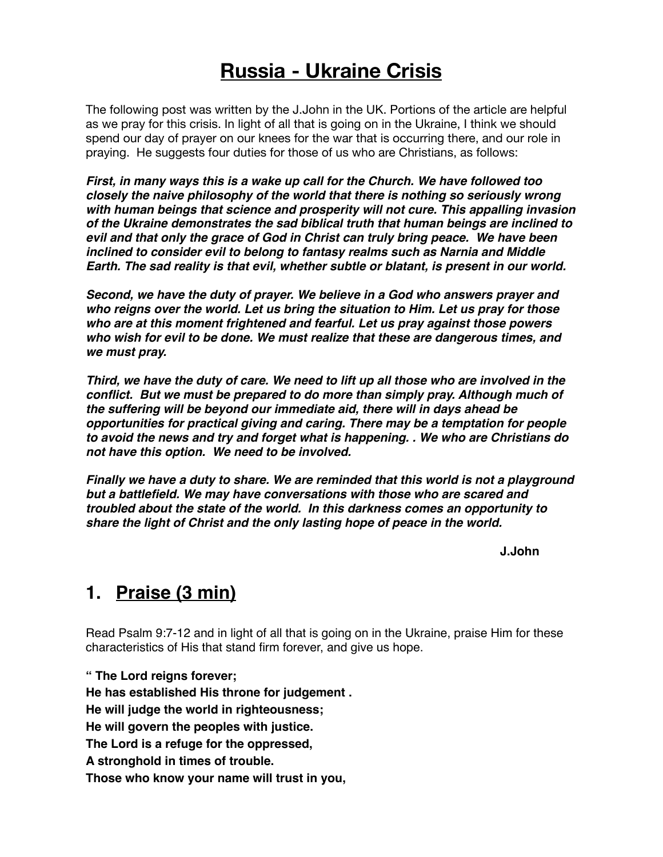# **Russia - Ukraine Crisis**

The following post was written by the J.John in the UK. Portions of the article are helpful as we pray for this crisis. In light of all that is going on in the Ukraine, I think we should spend our day of prayer on our knees for the war that is occurring there, and our role in praying. He suggests four duties for those of us who are Christians, as follows:

*First, in many ways this is a wake up call for the Church. We have followed too closely the naive philosophy of the world that there is nothing so seriously wrong with human beings that science and prosperity will not cure. This appalling invasion of the Ukraine demonstrates the sad biblical truth that human beings are inclined to evil and that only the grace of God in Christ can truly bring peace. We have been inclined to consider evil to belong to fantasy realms such as Narnia and Middle Earth. The sad reality is that evil, whether subtle or blatant, is present in our world.* 

*Second, we have the duty of prayer. We believe in a God who answers prayer and who reigns over the world. Let us bring the situation to Him. Let us pray for those who are at this moment frightened and fearful. Let us pray against those powers who wish for evil to be done. We must realize that these are dangerous times, and we must pray.* 

*Third, we have the duty of care. We need to lift up all those who are involved in the conflict. But we must be prepared to do more than simply pray. Although much of the suffering will be beyond our immediate aid, there will in days ahead be opportunities for practical giving and caring. There may be a temptation for people to avoid the news and try and forget what is happening. . We who are Christians do not have this option. We need to be involved.* 

*Finally we have a duty to share. We are reminded that this world is not a playground but a battlefield. We may have conversations with those who are scared and troubled about the state of the world. In this darkness comes an opportunity to share the light of Christ and the only lasting hope of peace in the world.* 

**J.John**

## **1. Praise (3 min)**

Read Psalm 9:7-12 and in light of all that is going on in the Ukraine, praise Him for these characteristics of His that stand firm forever, and give us hope.

**" The Lord reigns forever; He has established His throne for judgement . He will judge the world in righteousness; He will govern the peoples with justice. The Lord is a refuge for the oppressed, A stronghold in times of trouble. Those who know your name will trust in you,**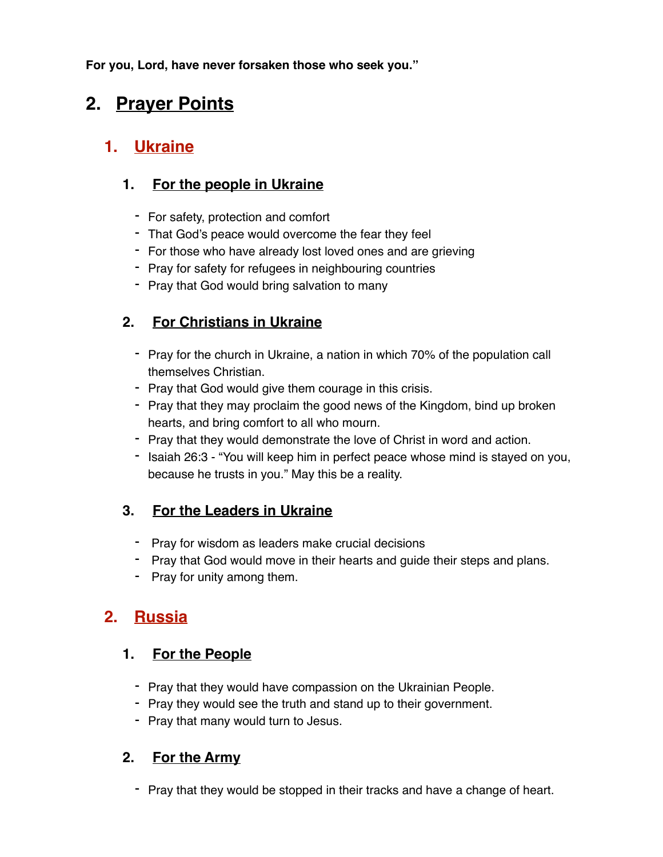**For you, Lord, have never forsaken those who seek you."** 

# **2. Prayer Points**

# **1. Ukraine**

### **1. For the people in Ukraine**

- For safety, protection and comfort
- That God's peace would overcome the fear they feel
- For those who have already lost loved ones and are grieving
- Pray for safety for refugees in neighbouring countries
- Pray that God would bring salvation to many

### **2. For Christians in Ukraine**

- Pray for the church in Ukraine, a nation in which 70% of the population call themselves Christian.
- Pray that God would give them courage in this crisis.
- Pray that they may proclaim the good news of the Kingdom, bind up broken hearts, and bring comfort to all who mourn.
- Pray that they would demonstrate the love of Christ in word and action.
- Isaiah 26:3 "You will keep him in perfect peace whose mind is stayed on you, because he trusts in you." May this be a reality.

### **3. For the Leaders in Ukraine**

- Pray for wisdom as leaders make crucial decisions
- Pray that God would move in their hearts and guide their steps and plans.
- Pray for unity among them.

## **2. Russia**

#### **1. For the People**

- Pray that they would have compassion on the Ukrainian People.
- Pray they would see the truth and stand up to their government.
- Pray that many would turn to Jesus.

#### **2. For the Army**

- Pray that they would be stopped in their tracks and have a change of heart.